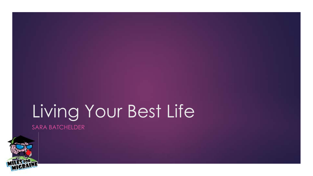# Living Your Best Life

SARA BATCHELDER

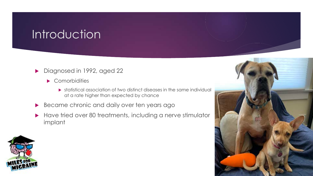## **Introduction**

- Diagnosed in 1992, aged 22
	- Comorbidities
		- $\triangleright$  statistical association of two distinct diseases in the same individual at a rate higher than expected by chance
- Became chronic and daily over ten years ago
- Have tried over 80 treatments, including a nerve stimulator implant



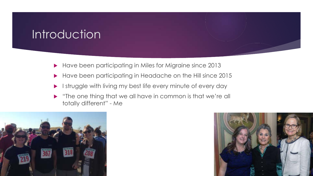## **Introduction**

- Have been participating in Miles for Migraine since 2013
- Have been participating in Headache on the Hill since 2015
- I struggle with living my best life every minute of every day
- "The one thing that we all have in common is that we're all totally different" - Me



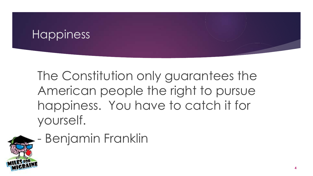The Constitution only guarantees the American people the right to pursue happiness. You have to catch it for yourself.



# - Benjamin Franklin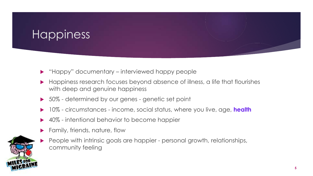- "Happy" documentary interviewed happy people
- Happiness research focuses beyond absence of illness, a life that flourishes with deep and genuine happiness
- 50% determined by our genes genetic set point
- 10% circumstances income, social status, where you live, age, **health**
- 40% intentional behavior to become happier
- Family, friends, nature, flow
- People with intrinsic goals are happier personal growth, relationships, community feeling

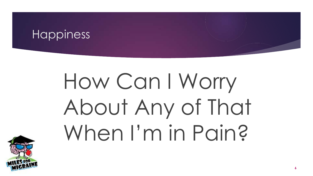# How Can I Worry About Any of That When I'm in Pain?

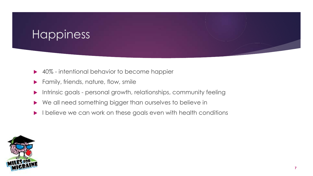- 40% intentional behavior to become happier
- Family, friends, nature, flow, smile
- **Intrinsic goals personal growth, relationships, community feeling**
- We all need something bigger than ourselves to believe in
- I believe we can work on these goals even with health conditions

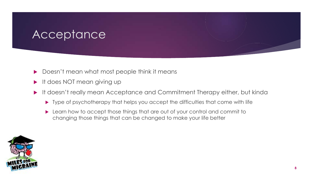- Doesn't mean what most people think it means
- It does NOT mean giving up
- It doesn't really mean Acceptance and Commitment Therapy either, but kinda
	- ▶ Type of psychotherapy that helps you accept the difficulties that come with life
	- **Learn how to accept those things that are out of your control and commit to** changing those things that can be changed to make your life better

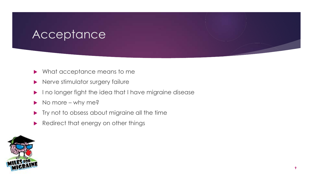- Mhat acceptance means to me
- Nerve stimulator surgery failure
- I no longer fight the idea that I have migraine disease
- No more why me?
- Try not to obsess about migraine all the time
- Redirect that energy on other things

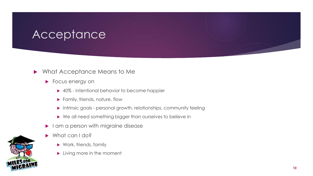#### Mhat Acceptance Means to Me

- **Focus energy on** 
	- ▶ 40% intentional behavior to become happier
	- **Family, friends, nature, flow**
	- **Intrinsic goals personal growth, relationships, community feeling**
	- ▶ We all need something bigger than ourselves to believe in
- am a person with migraine disease
- What can I do?
	- ▶ Work, friends, family
	- **Living more in the moment**

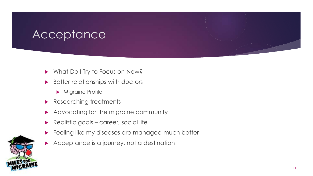- What Do I Try to Focus on Now?
- **Better relationships with doctors** 
	- Migraine Profile
- Researching treatments
- Advocating for the migraine community
- Realistic goals career, social life
- Feeling like my diseases are managed much better
- Acceptance is a journey, not a destination

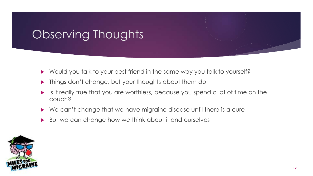# Observing Thoughts

- Would you talk to your best friend in the same way you talk to yourself?
- Things don't change, but your thoughts about them do
- Is it really true that you are worthless, because you spend a lot of time on the couch?
- We can't change that we have migraine disease until there is a cure
- But we can change how we think about it and ourselves

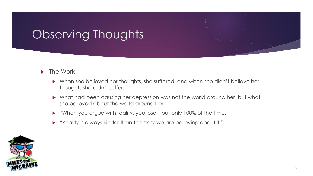# Observing Thoughts

#### $\blacktriangleright$  The Work

- When she believed her thoughts, she suffered, and when she didn't believe her thoughts she didn't suffer.
- What had been causing her depression was not the world around her, but what she believed about the world around her.
- "When you argue with reality, you lose—but only 100% of the time."
- "Reality is always kinder than the story we are believing about it."

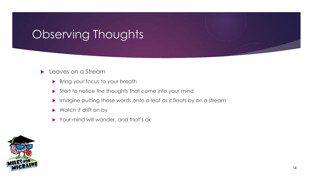# Observing Thoughts

#### **Leaves on a Stream**

- **Bring your focus to your breath**
- Start to notice the thoughts that come into your mind
- Imagine putting those words onto a leaf as it floats by on a stream
- ▶ Watch it drift on by
- Your mind will wander, and that's ok